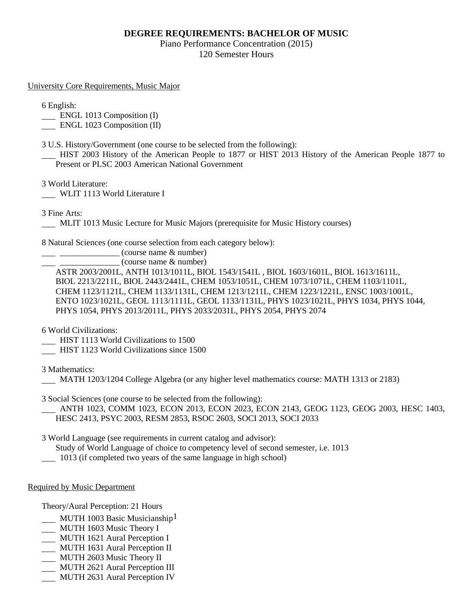## **DEGREE REQUIREMENTS: BACHELOR OF MUSIC**

Piano Performance Concentration (2015) 120 Semester Hours

University Core Requirements, Music Major

6 English:

ENGL 1013 Composition (I)

**ENGL 1023 Composition (II)** 

3 U.S. History/Government (one course to be selected from the following):

 HIST 2003 History of the American People to 1877 or HIST 2013 History of the American People 1877 to Present or PLSC 2003 American National Government

3 World Literature:

WLIT 1113 World Literature I

3 Fine Arts:

MLIT 1013 Music Lecture for Music Majors (prerequisite for Music History courses)

8 Natural Sciences (one course selection from each category below):

\_\_\_\_\_\_\_\_\_\_\_\_\_\_ (course name & number)

\_\_\_\_\_\_\_\_\_\_\_\_\_\_ (course name & number)

ASTR 2003/2001L, ANTH 1013/1011L, BIOL 1543/1541L , BIOL 1603/1601L, BIOL 1613/1611L, BIOL 2213/2211L, BIOL 2443/2441L, CHEM 1053/1051L, CHEM 1073/1071L, CHEM 1103/1101L, CHEM 1123/1121L, CHEM 1133/1131L, CHEM 1213/1211L, CHEM 1223/1221L, ENSC 1003/1001L, ENTO 1023/1021L, GEOL 1113/1111L, GEOL 1133/1131L, PHYS 1023/1021L, PHYS 1034, PHYS 1044, PHYS 1054, PHYS 2013/2011L, PHYS 2033/2031L, PHYS 2054, PHYS 2074

6 World Civilizations:

- HIST 1113 World Civilizations to 1500
- HIST 1123 World Civilizations since 1500

3 Mathematics:

MATH 1203/1204 College Algebra (or any higher level mathematics course: MATH 1313 or 2183)

3 Social Sciences (one course to be selected from the following):

 ANTH 1023, COMM 1023, ECON 2013, ECON 2023, ECON 2143, GEOG 1123, GEOG 2003, HESC 1403, HESC 2413, PSYC 2003, RESM 2853, RSOC 2603, SOCI 2013, SOCI 2033

3 World Language (see requirements in current catalog and advisor):

Study of World Language of choice to competency level of second semester, i.e. 1013

1013 (if completed two years of the same language in high school)

Required by Music Department

Theory/Aural Perception: 21 Hours

- MUTH 1003 Basic Musicianship<sup>1</sup>
- MUTH 1603 Music Theory I
- MUTH 1621 Aural Perception I
- MUTH 1631 Aural Perception II
- MUTH 2603 Music Theory II
- MUTH 2621 Aural Perception III
- **MUTH 2631 Aural Perception IV**